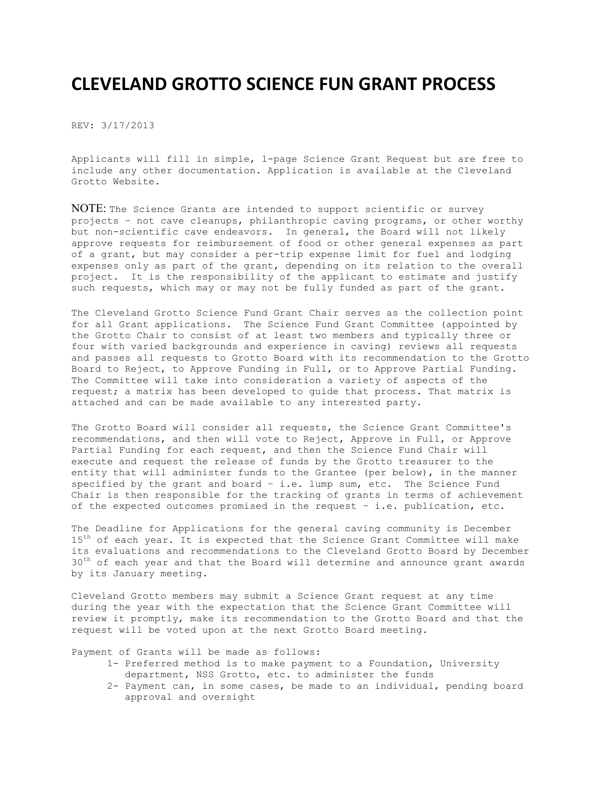## **CLEVELAND GROTTO SCIENCE FUN GRANT PROCESS**

REV: 3/17/2013

Applicants will fill in simple, 1-page Science Grant Request but are free to include any other documentation. Application is available at the Cleveland Grotto Website.

NOTE: The Science Grants are intended to support scientific or survey projects – not cave cleanups, philanthropic caving programs, or other worthy but non-scientific cave endeavors. In general, the Board will not likely approve requests for reimbursement of food or other general expenses as part of a grant, but may consider a per-trip expense limit for fuel and lodging expenses only as part of the grant, depending on its relation to the overall project. It is the responsibility of the applicant to estimate and justify such requests, which may or may not be fully funded as part of the grant.

The Cleveland Grotto Science Fund Grant Chair serves as the collection point for all Grant applications. The Science Fund Grant Committee (appointed by the Grotto Chair to consist of at least two members and typically three or four with varied backgrounds and experience in caving) reviews all requests and passes all requests to Grotto Board with its recommendation to the Grotto Board to Reject, to Approve Funding in Full, or to Approve Partial Funding. The Committee will take into consideration a variety of aspects of the request; a matrix has been developed to guide that process. That matrix is attached and can be made available to any interested party.

The Grotto Board will consider all requests, the Science Grant Committee's recommendations, and then will vote to Reject, Approve in Full, or Approve Partial Funding for each request, and then the Science Fund Chair will execute and request the release of funds by the Grotto treasurer to the entity that will administer funds to the Grantee (per below), in the manner specified by the grant and board – i.e. lump sum, etc. The Science Fund Chair is then responsible for the tracking of grants in terms of achievement of the expected outcomes promised in the request – i.e. publication, etc.

The Deadline for Applications for the general caving community is December 15<sup>th</sup> of each year. It is expected that the Science Grant Committee will make its evaluations and recommendations to the Cleveland Grotto Board by December  $30<sup>th</sup>$  of each year and that the Board will determine and announce grant awards by its January meeting.

Cleveland Grotto members may submit a Science Grant request at any time during the year with the expectation that the Science Grant Committee will review it promptly, make its recommendation to the Grotto Board and that the request will be voted upon at the next Grotto Board meeting.

Payment of Grants will be made as follows:

- 1- Preferred method is to make payment to a Foundation, University department, NSS Grotto, etc. to administer the funds
- 2- Payment can, in some cases, be made to an individual, pending board approval and oversight